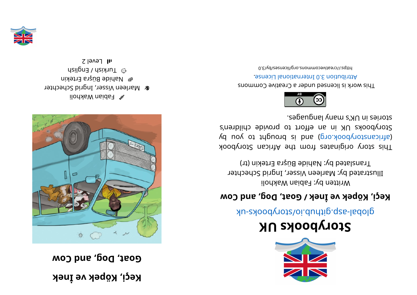**kenİ ev kepöK,i çeK a** dog to pue to  $\mu$ 



 $\mathbb{R}$  Fabian Makholi **&** Marleen Visser, Ingrid Schechter  $\blacksquare$  Mahide Büşra Ertekin  $\odot$  Turkish / English  $\Omega$  level 2



## **KUskoobyr otS**

global-aspookhotal approach and above -uk

## **woC dna, goD, <sup>t</sup> aoG/ kenİ ev kepöK,i çeK**

Written by: Fabian Wakholi Illustrated by: Marleen Visser, Ingrid Schechter Translated by: Nahide Büşra Ertekin (tr)

kood yoof a sing in and work set and work sid and a single single single single single single single (d uoy ot tripuor ai bna (pro. koodynotanaith) Storybooks UK in an effort to provide children's stories in UK's many languages.



This work is licensed under a Creative Commons . esnecial lanoit and the change.

bttps://creativecommons.org/licenses/by/3.0

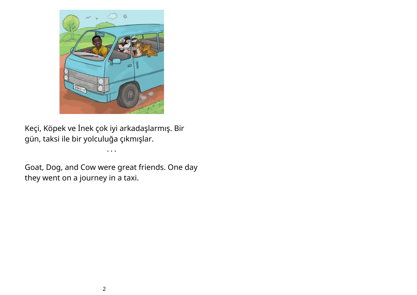

Keçi, Köpek ve İnek çok iyi arkadaşlarmış. Bir gün, taksi ile bir yolculuğa çıkmışlar.

Goat, Dog, and Cow were great friends. One day they went on a journey in a taxi.

• • •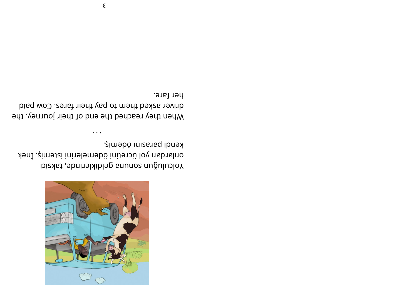

kendi parasını ödemiş. yəni .¿imətzi ini badmelerini istemiş. İnek Yolculuğun sonuna geldiklerinde, taksici

her fare. bisq wo Centa to pay their fares. Cow paid When they reached the end of their journey, the

 $\bullet\hspace{0.1cm}\bullet\hspace{0.1cm}\bullet\hspace{0.1cm}\bullet$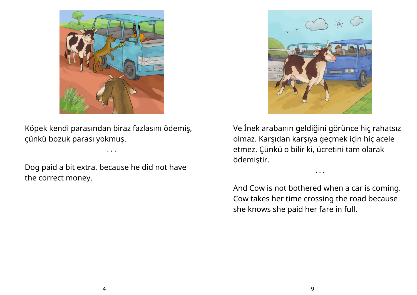

Köpek kendi parasından biraz fazlasını ödemiş, çünkü bozuk parası yokmuş.

• • •

Dog paid a bit extra, because he did not have the correct money.



Ve İnek arabanın geldiğini görünce hiç rahatsız olmaz. Karşıdan karşıya geçmek için hiç acele etmez. Çünkü o bilir ki, ücretini tam olarak ödemiştir.

• • •

And Cow is not bothered when a car is coming. Cow takes her time crossing the road because she knows she paid her fare in full.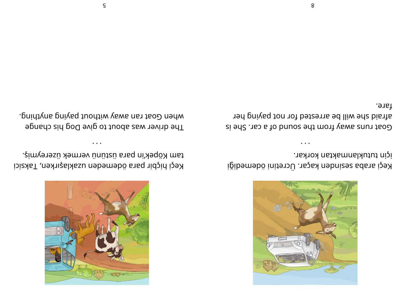

için tutuklanmaktan korkar. Keçi araba sesinden kaçar. Ücretini ödemediği

fare. afraid she will be arrested for not paying her si  $9$ d2 . The avay from the sound of a car. She is



tam Köpek'in para üstünü vermek üzereymiş. Keçi hiçbir para ödemeden uzaklaşırken, Taksici

. pnidtyns pnived tuodtiw vews nst tsoD nedw The driver was about to give Dog his change